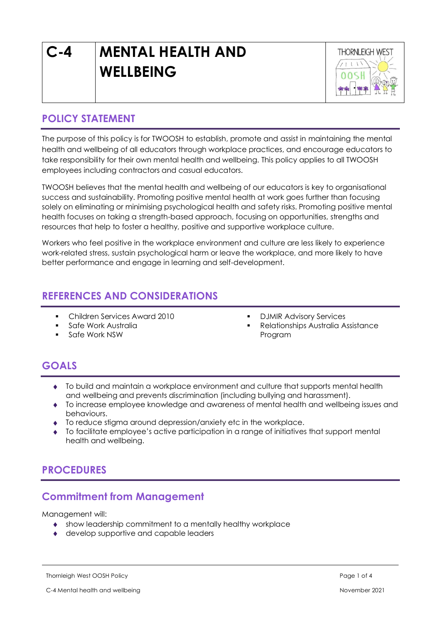# **C-4 MENTAL HEALTH AND WELLBEING**



# **POLICY STATEMENT**

The purpose of this policy is for TWOOSH to establish, promote and assist in maintaining the mental health and wellbeing of all educators through workplace practices, and encourage educators to take responsibility for their own mental health and wellbeing. This policy applies to all TWOOSH employees including contractors and casual educators.

TWOOSH believes that the mental health and wellbeing of our educators is key to organisational success and sustainability. Promoting positive mental health at work goes further than focusing solely on eliminating or minimising psychological health and safety risks. Promoting positive mental health focuses on taking a strength-based approach, focusing on opportunities, strengths and resources that help to foster a healthy, positive and supportive workplace culture.

Workers who feel positive in the workplace environment and culture are less likely to experience work-related stress, sustain psychological harm or leave the workplace, and more likely to have better performance and engage in learning and self-development.

# **REFERENCES AND CONSIDERATIONS**

- Children Services Award 2010
- Safe Work Australia
- Safe Work NSW
- **DJMIR Advisory Services**
- **Relationships Australia Assistance** Program

# **GOALS**

- To build and maintain a workplace environment and culture that supports mental health and wellbeing and prevents discrimination (including bullying and harassment).
- To increase employee knowledge and awareness of mental health and wellbeing issues and behaviours.
- To reduce stigma around depression/anxiety etc in the workplace.
- To facilitate employee's active participation in a range of initiatives that support mental health and wellbeing.

# **PROCEDURES**

# **Commitment from Management**

Management will:

- show leadership commitment to a mentally healthy workplace
- ◆ develop supportive and capable leaders

Thornleigh West OOSH Policy Page 1 of 4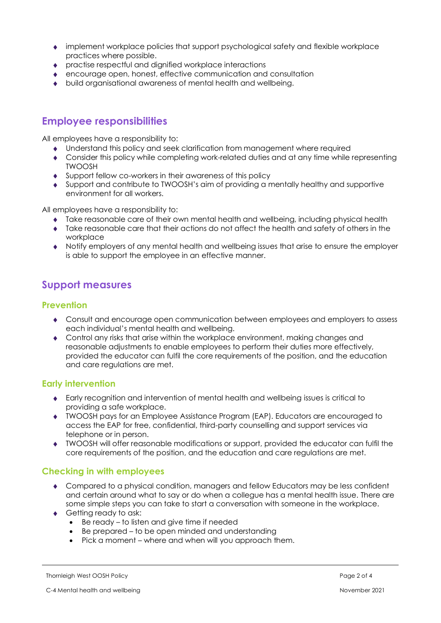- implement workplace policies that support psychological safety and flexible workplace practices where possible.
- practise respectful and dignified workplace interactions
- encourage open, honest, effective communication and consultation
- build organisational awareness of mental health and wellbeing.

## **Employee responsibilities**

All employees have a responsibility to:

- Understand this policy and seek clarification from management where required
- Consider this policy while completing work-related duties and at any time while representing TWOOSH
- Support fellow co-workers in their awareness of this policy
- Support and contribute to TWOOSH's aim of providing a mentally healthy and supportive environment for all workers.

All employees have a responsibility to:

- Take reasonable care of their own mental health and wellbeing, including physical health
- Take reasonable care that their actions do not affect the health and safety of others in the workplace
- Notify employers of any mental health and wellbeing issues that arise to ensure the employer is able to support the employee in an effective manner.

# **Support measures**

#### **Prevention**

- Consult and encourage open communication between employees and employers to assess each individual's mental health and wellbeing.
- Control any risks that arise within the workplace environment, making changes and reasonable adjustments to enable employees to perform their duties more effectively, provided the educator can fulfil the core requirements of the position, and the education and care regulations are met.

#### **Early intervention**

- Early recognition and intervention of mental health and wellbeing issues is critical to providing a safe workplace.
- TWOOSH pays for an Employee Assistance Program (EAP). Educators are encouraged to access the EAP for free, confidential, third-party counselling and support services via telephone or in person.
- TWOOSH will offer reasonable modifications or support, provided the educator can fulfil the core requirements of the position, and the education and care regulations are met.

#### **Checking in with employees**

- Compared to a physical condition, managers and fellow Educators may be less confident and certain around what to say or do when a collegue has a mental health issue. There are some simple steps you can take to start a conversation with someone in the workplace.
- ◆ Getting ready to ask:
	- Be ready to listen and give time if needed
	- Be prepared to be open minded and understanding
	- Pick a moment where and when will you approach them.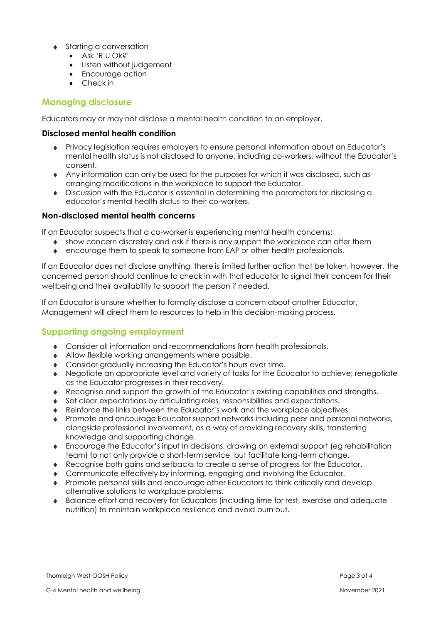- Starting a conversation
	- Ask 'R U Ok?'
	- Listen without judgement
	- Encourage action
	- Check in

#### **Managing disclosure**

Educators may or may not disclose a mental health condition to an employer.

#### **Disclosed mental health condition**

- Privacy legislation requires employers to ensure personal information about an Educator's mental health status is not disclosed to anyone, including co-workers, without the Educator's consent.
- Any information can only be used for the purposes for which it was disclosed, such as arranging modifications in the workplace to support the Educator.
- Discussion with the Educator is essential in determining the parameters for disclosing a educator's mental health status to their co-workers.

#### **Non-disclosed mental health concerns**

If an Educator suspects that a co-worker is experiencing mental health concerns:

- show concern discretely and ask if there is any support the workplace can offer them
- encourage them to speak to someone from EAP or other health professionals.

If an Educator does not disclose anything, there is limited further action that be taken, however, the concerned person should continue to check in with that educator to signal their concern for their wellbeing and their availability to support the person if needed.

If an Educator is unsure whether to formally disclose a concern about another Educator, Management will direct them to resources to help in this decision-making process.

### **Supporting ongoing employment**

- Consider all information and recommendations from health professionals.
- Allow flexible working arrangements where possible.
- Consider gradually increasing the Educator's hours over time.
- ◆ Negotiate an appropriate level and variety of tasks for the Educator to achieve; renegotiate as the Educator progresses in their recovery.
- Recognise and support the growth of the Educator's existing capabilities and strengths.
- Set clear expectations by articulating roles, responsibilities and expectations.
- Reinforce the links between the Educator's work and the workplace objectives.
- Promote and encourage Educator support networks including peer and personal networks, alongside professional involvement, as a way of providing recovery skills, transferring knowledge and supporting change.
- Encourage the Educator's input in decisions, drawing on external support (eg rehabilitation team) to not only provide a short-term service, but facilitate long-term change.
- Recognise both gains and setbacks to create a sense of progress for the Educator.
- ◆ Communicate effectively by informing, engaging and involving the Educator.
- Promote personal skills and encourage other Educators to think critically and develop alternative solutions to workplace problems.
- Balance effort and recovery for Educators (including time for rest, exercise and adequate nutrition) to maintain workplace resilience and avoid burn out.